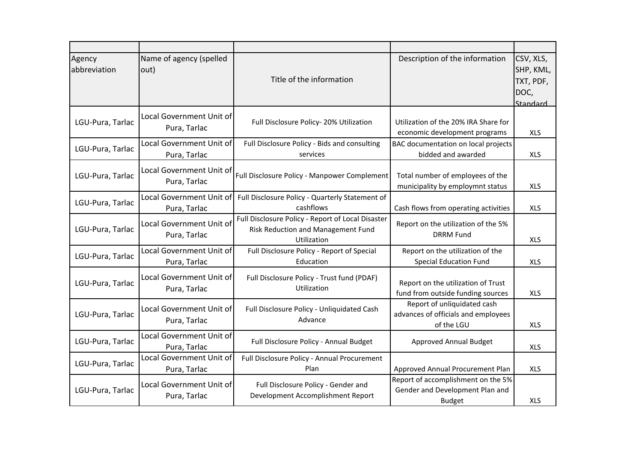| Agency<br>abbreviation | Name of agency (spelled<br>out)                 | Title of the information                                                                               | Description of the information                                                         | CSV, XLS,<br>SHP, KML,<br>TXT, PDF,<br>DOC,<br>Standard |
|------------------------|-------------------------------------------------|--------------------------------------------------------------------------------------------------------|----------------------------------------------------------------------------------------|---------------------------------------------------------|
| LGU-Pura, Tarlac       | Local Government Unit of<br>Pura, Tarlac        | Full Disclosure Policy-20% Utilization                                                                 | Utilization of the 20% IRA Share for<br>economic development programs                  | <b>XLS</b>                                              |
| LGU-Pura, Tarlac       | Local Government Unit of<br>Pura, Tarlac        | Full Disclosure Policy - Bids and consulting<br>services                                               | BAC documentation on local projects<br>bidded and awarded                              | <b>XLS</b>                                              |
| LGU-Pura, Tarlac       | Local Government Unit of<br>Pura, Tarlac        | Full Disclosure Policy - Manpower Complement                                                           | Total number of employees of the<br>municipality by employmnt status                   | <b>XLS</b>                                              |
| LGU-Pura, Tarlac       | <b>Local Government Unit of</b><br>Pura, Tarlac | Full Disclosure Policy - Quarterly Statement of<br>cashflows                                           | Cash flows from operating activities                                                   | <b>XLS</b>                                              |
| LGU-Pura, Tarlac       | Local Government Unit of<br>Pura, Tarlac        | Full Disclosure Policy - Report of Local Disaster<br>Risk Reduction and Management Fund<br>Utilization | Report on the utilization of the 5%<br><b>DRRM Fund</b>                                | <b>XLS</b>                                              |
| LGU-Pura, Tarlac       | Local Government Unit of<br>Pura, Tarlac        | Full Disclosure Policy - Report of Special<br>Education                                                | Report on the utilization of the<br><b>Special Education Fund</b>                      | <b>XLS</b>                                              |
| LGU-Pura, Tarlac       | Local Government Unit of<br>Pura, Tarlac        | Full Disclosure Policy - Trust fund (PDAF)<br>Utilization                                              | Report on the utilization of Trust<br>fund from outside funding sources                | <b>XLS</b>                                              |
| LGU-Pura, Tarlac       | Local Government Unit of<br>Pura, Tarlac        | Full Disclosure Policy - Unliquidated Cash<br>Advance                                                  | Report of unliquidated cash<br>advances of officials and employees<br>of the LGU       | <b>XLS</b>                                              |
| LGU-Pura, Tarlac       | Local Government Unit of<br>Pura, Tarlac        | Full Disclosure Policy - Annual Budget                                                                 | Approved Annual Budget                                                                 | <b>XLS</b>                                              |
| LGU-Pura, Tarlac       | Local Government Unit of<br>Pura, Tarlac        | Full Disclosure Policy - Annual Procurement<br>Plan                                                    | Approved Annual Procurement Plan                                                       | <b>XLS</b>                                              |
| LGU-Pura, Tarlac       | <b>Local Government Unit of</b><br>Pura, Tarlac | Full Disclosure Policy - Gender and<br>Development Accomplishment Report                               | Report of accomplishment on the 5%<br>Gender and Development Plan and<br><b>Budget</b> | <b>XLS</b>                                              |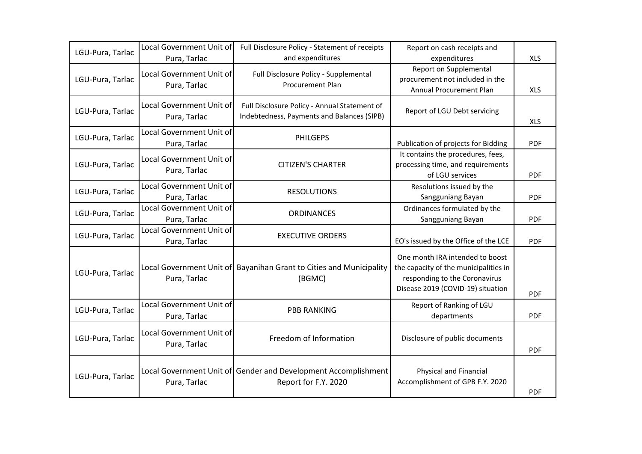| LGU-Pura, Tarlac | Local Government Unit of                        | Full Disclosure Policy - Statement of receipts                                             | Report on cash receipts and                                                                                                                    |            |
|------------------|-------------------------------------------------|--------------------------------------------------------------------------------------------|------------------------------------------------------------------------------------------------------------------------------------------------|------------|
| LGU-Pura, Tarlac | Pura, Tarlac<br>Local Government Unit of        | and expenditures<br>Full Disclosure Policy - Supplemental                                  | expenditures<br>Report on Supplemental<br>procurement not included in the                                                                      | <b>XLS</b> |
|                  | Pura, Tarlac                                    | <b>Procurement Plan</b>                                                                    | Annual Procurement Plan                                                                                                                        | <b>XLS</b> |
| LGU-Pura, Tarlac | <b>Local Government Unit of</b><br>Pura, Tarlac | Full Disclosure Policy - Annual Statement of<br>Indebtedness, Payments and Balances (SIPB) | Report of LGU Debt servicing                                                                                                                   | <b>XLS</b> |
| LGU-Pura, Tarlac | Local Government Unit of<br>Pura, Tarlac        | <b>PHILGEPS</b>                                                                            | Publication of projects for Bidding                                                                                                            | <b>PDF</b> |
| LGU-Pura, Tarlac | Local Government Unit of<br>Pura, Tarlac        | <b>CITIZEN'S CHARTER</b>                                                                   | It contains the procedures, fees,<br>processing time, and requirements<br>of LGU services                                                      | <b>PDF</b> |
| LGU-Pura, Tarlac | Local Government Unit of<br>Pura, Tarlac        | <b>RESOLUTIONS</b>                                                                         | Resolutions issued by the<br>Sangguniang Bayan                                                                                                 | <b>PDF</b> |
| LGU-Pura, Tarlac | Local Government Unit of<br>Pura, Tarlac        | <b>ORDINANCES</b>                                                                          | Ordinances formulated by the<br>Sangguniang Bayan                                                                                              | <b>PDF</b> |
| LGU-Pura, Tarlac | <b>Local Government Unit of</b><br>Pura, Tarlac | <b>EXECUTIVE ORDERS</b>                                                                    | EO's issued by the Office of the LCE                                                                                                           | <b>PDF</b> |
| LGU-Pura, Tarlac | Pura, Tarlac                                    | Local Government Unit of Bayanihan Grant to Cities and Municipality<br>(BGMC)              | One month IRA intended to boost<br>the capacity of the municipalities in<br>responding to the Coronavirus<br>Disease 2019 (COVID-19) situation | <b>PDF</b> |
| LGU-Pura, Tarlac | Local Government Unit of<br>Pura, Tarlac        | <b>PBB RANKING</b>                                                                         | Report of Ranking of LGU<br>departments                                                                                                        | <b>PDF</b> |
| LGU-Pura, Tarlac | Local Government Unit of<br>Pura, Tarlac        | Freedom of Information                                                                     | Disclosure of public documents                                                                                                                 | <b>PDF</b> |
| LGU-Pura, Tarlac | Pura, Tarlac                                    | Local Government Unit of Gender and Development Accomplishment<br>Report for F.Y. 2020     | Physical and Financial<br>Accomplishment of GPB F.Y. 2020                                                                                      | <b>PDF</b> |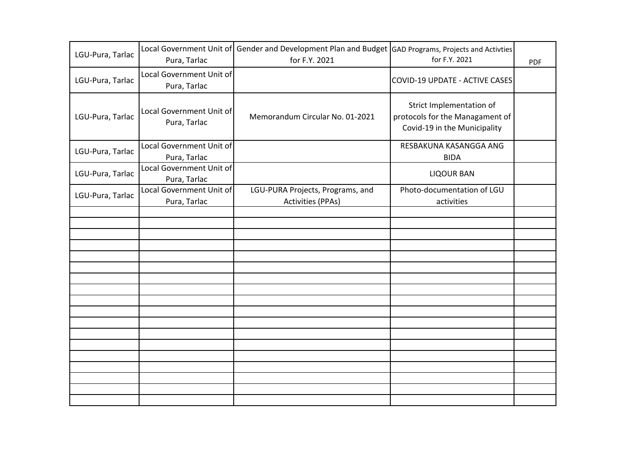| LGU-Pura, Tarlac | Pura, Tarlac                             | Local Government Unit of Gender and Development Plan and Budget GAD Programs, Projects and Activties<br>for F.Y. 2021 | for F.Y. 2021                                                                               | <b>PDF</b> |
|------------------|------------------------------------------|-----------------------------------------------------------------------------------------------------------------------|---------------------------------------------------------------------------------------------|------------|
| LGU-Pura, Tarlac | Local Government Unit of<br>Pura, Tarlac |                                                                                                                       | <b>COVID-19 UPDATE - ACTIVE CASES</b>                                                       |            |
| LGU-Pura, Tarlac | Local Government Unit of<br>Pura, Tarlac | Memorandum Circular No. 01-2021                                                                                       | Strict Implementation of<br>protocols for the Managament of<br>Covid-19 in the Municipality |            |
| LGU-Pura, Tarlac | Local Government Unit of<br>Pura, Tarlac |                                                                                                                       | RESBAKUNA KASANGGA ANG<br><b>BIDA</b>                                                       |            |
| LGU-Pura, Tarlac | Local Government Unit of<br>Pura, Tarlac |                                                                                                                       | <b>LIQOUR BAN</b>                                                                           |            |
| LGU-Pura, Tarlac | Local Government Unit of<br>Pura, Tarlac | LGU-PURA Projects, Programs, and<br><b>Activities (PPAs)</b>                                                          | Photo-documentation of LGU<br>activities                                                    |            |
|                  |                                          |                                                                                                                       |                                                                                             |            |
|                  |                                          |                                                                                                                       |                                                                                             |            |
|                  |                                          |                                                                                                                       |                                                                                             |            |
|                  |                                          |                                                                                                                       |                                                                                             |            |
|                  |                                          |                                                                                                                       |                                                                                             |            |
|                  |                                          |                                                                                                                       |                                                                                             |            |
|                  |                                          |                                                                                                                       |                                                                                             |            |
|                  |                                          |                                                                                                                       |                                                                                             |            |
|                  |                                          |                                                                                                                       |                                                                                             |            |
|                  |                                          |                                                                                                                       |                                                                                             |            |
|                  |                                          |                                                                                                                       |                                                                                             |            |
|                  |                                          |                                                                                                                       |                                                                                             |            |
|                  |                                          |                                                                                                                       |                                                                                             |            |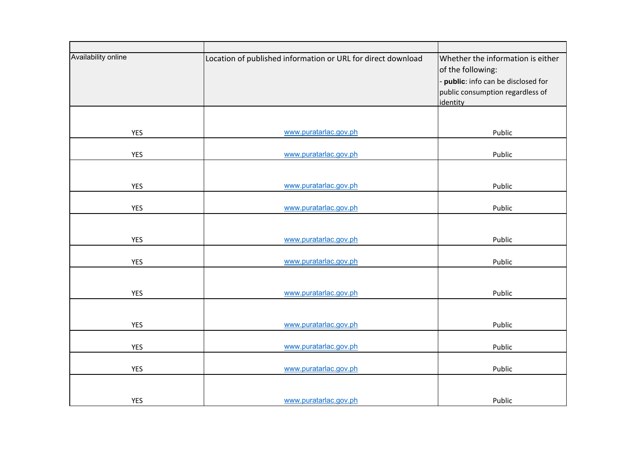| Availability online | Location of published information or URL for direct download | Whether the information is either<br>of the following:<br>- public: info can be disclosed for<br>public consumption regardless of<br>identity |
|---------------------|--------------------------------------------------------------|-----------------------------------------------------------------------------------------------------------------------------------------------|
|                     |                                                              |                                                                                                                                               |
| <b>YES</b>          | www.puratarlac.gov.ph                                        | Public                                                                                                                                        |
| <b>YES</b>          | www.puratarlac.gov.ph                                        | Public                                                                                                                                        |
|                     |                                                              |                                                                                                                                               |
| <b>YES</b>          | www.puratarlac.gov.ph                                        | Public                                                                                                                                        |
| <b>YES</b>          | www.puratarlac.gov.ph                                        | Public                                                                                                                                        |
|                     |                                                              |                                                                                                                                               |
| <b>YES</b>          | www.puratarlac.gov.ph                                        | Public                                                                                                                                        |
| <b>YES</b>          | www.puratarlac.gov.ph                                        | Public                                                                                                                                        |
|                     |                                                              |                                                                                                                                               |
| <b>YES</b>          | www.puratarlac.gov.ph                                        | Public                                                                                                                                        |
| <b>YES</b>          | www.puratarlac.gov.ph                                        | Public                                                                                                                                        |
|                     |                                                              |                                                                                                                                               |
| <b>YES</b>          | www.puratarlac.gov.ph                                        | Public                                                                                                                                        |
| <b>YES</b>          | www.puratarlac.gov.ph                                        | Public                                                                                                                                        |
| <b>YES</b>          | www.puratarlac.gov.ph                                        | Public                                                                                                                                        |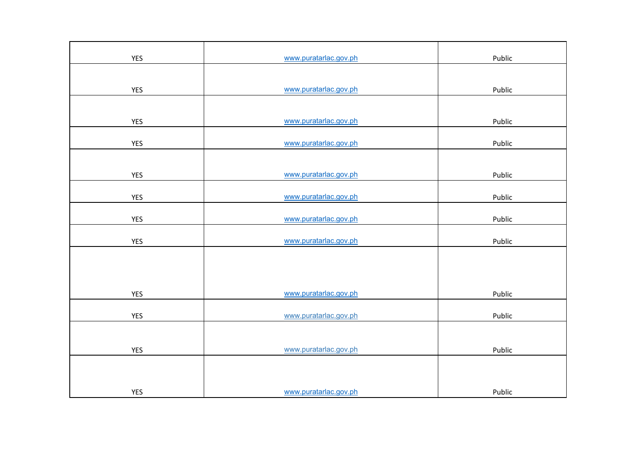| YES        | www.puratarlac.gov.ph | Public |
|------------|-----------------------|--------|
|            |                       |        |
| <b>YES</b> | www.puratarlac.gov.ph | Public |
|            |                       |        |
| YES        | www.puratarlac.gov.ph | Public |
| <b>YES</b> | www.puratarlac.gov.ph | Public |
|            |                       |        |
| <b>YES</b> | www.puratarlac.gov.ph | Public |
| YES        | www.puratarlac.gov.ph | Public |
| YES        | www.puratarlac.gov.ph | Public |
| YES        | www.puratarlac.gov.ph | Public |
|            |                       |        |
|            |                       |        |
| YES        | www.puratarlac.gov.ph | Public |
| YES        | www.puratarlac.gov.ph | Public |
|            |                       |        |
| <b>YES</b> | www.puratarlac.gov.ph | Public |
|            |                       |        |
|            | www.puratarlac.gov.ph | Public |
| <b>YES</b> |                       |        |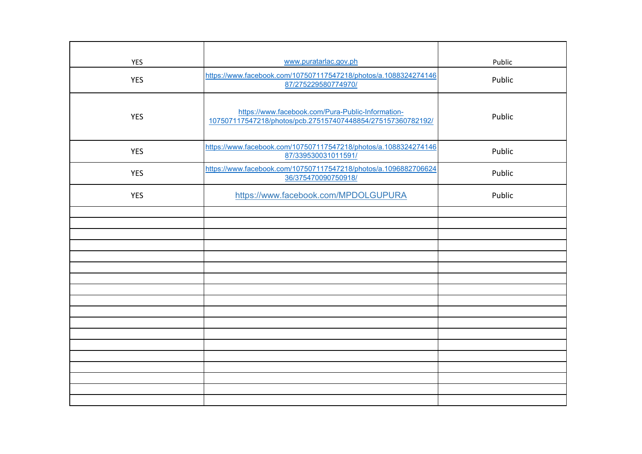| <b>YES</b> | www.puratarlac.gov.ph                                                                                            | Public |
|------------|------------------------------------------------------------------------------------------------------------------|--------|
| <b>YES</b> | https://www.facebook.com/107507117547218/photos/a.1088324274146<br>87/275229580774970/                           | Public |
| <b>YES</b> | https://www.facebook.com/Pura-Public-Information-<br>107507117547218/photos/pcb.275157407448854/275157360782192/ | Public |
| <b>YES</b> | https://www.facebook.com/107507117547218/photos/a.1088324274146<br>87/339530031011591/                           | Public |
| <b>YES</b> | https://www.facebook.com/107507117547218/photos/a.1096882706624<br>36/375470090750918/                           | Public |
| <b>YES</b> | https://www.facebook.com/MPDOLGUPURA                                                                             | Public |
|            |                                                                                                                  |        |
|            |                                                                                                                  |        |
|            |                                                                                                                  |        |
|            |                                                                                                                  |        |
|            |                                                                                                                  |        |
|            |                                                                                                                  |        |
|            |                                                                                                                  |        |
|            |                                                                                                                  |        |
|            |                                                                                                                  |        |
|            |                                                                                                                  |        |
|            |                                                                                                                  |        |
|            |                                                                                                                  |        |
|            |                                                                                                                  |        |
|            |                                                                                                                  |        |
|            |                                                                                                                  |        |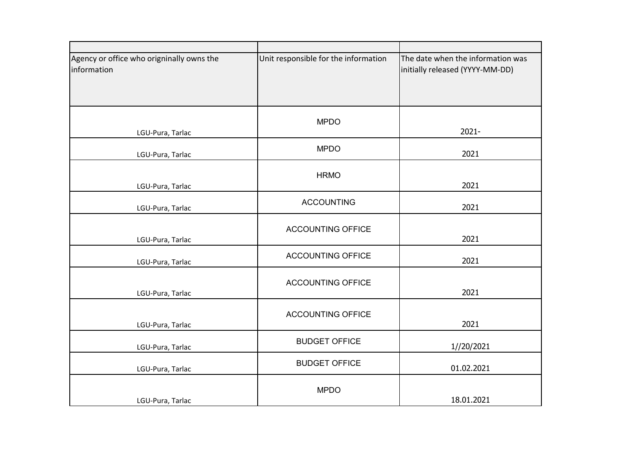| Agency or office who origninally owns the<br>information | Unit responsible for the information | The date when the information was<br>initially released (YYYY-MM-DD) |
|----------------------------------------------------------|--------------------------------------|----------------------------------------------------------------------|
|                                                          |                                      |                                                                      |
| LGU-Pura, Tarlac                                         | <b>MPDO</b>                          | $2021 -$                                                             |
| LGU-Pura, Tarlac                                         | <b>MPDO</b>                          | 2021                                                                 |
| LGU-Pura, Tarlac                                         | <b>HRMO</b>                          | 2021                                                                 |
| LGU-Pura, Tarlac                                         | <b>ACCOUNTING</b>                    | 2021                                                                 |
| LGU-Pura, Tarlac                                         | <b>ACCOUNTING OFFICE</b>             | 2021                                                                 |
| LGU-Pura, Tarlac                                         | <b>ACCOUNTING OFFICE</b>             | 2021                                                                 |
| LGU-Pura, Tarlac                                         | <b>ACCOUNTING OFFICE</b>             | 2021                                                                 |
| LGU-Pura, Tarlac                                         | <b>ACCOUNTING OFFICE</b>             | 2021                                                                 |
| LGU-Pura, Tarlac                                         | <b>BUDGET OFFICE</b>                 | 1//20/2021                                                           |
| LGU-Pura, Tarlac                                         | <b>BUDGET OFFICE</b>                 | 01.02.2021                                                           |
| LGU-Pura, Tarlac                                         | <b>MPDO</b>                          | 18.01.2021                                                           |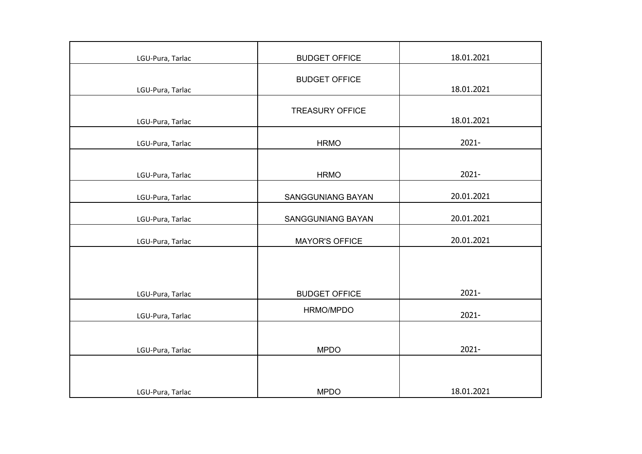| LGU-Pura, Tarlac | <b>BUDGET OFFICE</b>   | 18.01.2021 |
|------------------|------------------------|------------|
|                  | <b>BUDGET OFFICE</b>   | 18.01.2021 |
| LGU-Pura, Tarlac |                        |            |
| LGU-Pura, Tarlac | <b>TREASURY OFFICE</b> | 18.01.2021 |
| LGU-Pura, Tarlac | <b>HRMO</b>            | $2021 -$   |
| LGU-Pura, Tarlac | <b>HRMO</b>            | $2021 -$   |
| LGU-Pura, Tarlac | SANGGUNIANG BAYAN      | 20.01.2021 |
| LGU-Pura, Tarlac | SANGGUNIANG BAYAN      | 20.01.2021 |
| LGU-Pura, Tarlac | <b>MAYOR'S OFFICE</b>  | 20.01.2021 |
|                  |                        |            |
| LGU-Pura, Tarlac | <b>BUDGET OFFICE</b>   | $2021 -$   |
| LGU-Pura, Tarlac | HRMO/MPDO              | $2021 -$   |
| LGU-Pura, Tarlac | <b>MPDO</b>            | $2021 -$   |
|                  |                        |            |
| LGU-Pura, Tarlac | <b>MPDO</b>            | 18.01.2021 |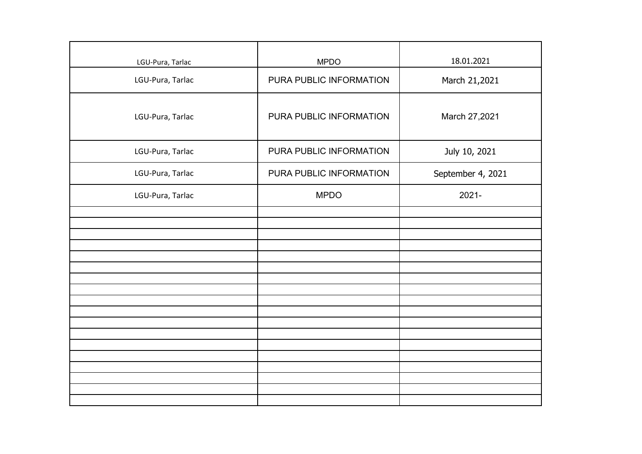| LGU-Pura, Tarlac | <b>MPDO</b>             | 18.01.2021        |
|------------------|-------------------------|-------------------|
| LGU-Pura, Tarlac | PURA PUBLIC INFORMATION | March 21,2021     |
| LGU-Pura, Tarlac | PURA PUBLIC INFORMATION | March 27,2021     |
| LGU-Pura, Tarlac | PURA PUBLIC INFORMATION | July 10, 2021     |
| LGU-Pura, Tarlac | PURA PUBLIC INFORMATION | September 4, 2021 |
| LGU-Pura, Tarlac | <b>MPDO</b>             | $2021 -$          |
|                  |                         |                   |
|                  |                         |                   |
|                  |                         |                   |
|                  |                         |                   |
|                  |                         |                   |
|                  |                         |                   |
|                  |                         |                   |
|                  |                         |                   |
|                  |                         |                   |
|                  |                         |                   |
|                  |                         |                   |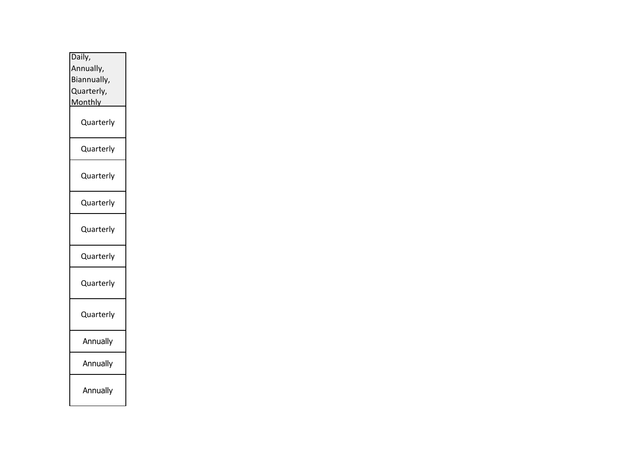| Daily,         |  |  |  |  |  |
|----------------|--|--|--|--|--|
| Annually,      |  |  |  |  |  |
| Biannually,    |  |  |  |  |  |
| Quarterly,     |  |  |  |  |  |
| <b>Monthly</b> |  |  |  |  |  |
| Quarterly      |  |  |  |  |  |
| Quarterly      |  |  |  |  |  |
| Quarterly      |  |  |  |  |  |
| Quarterly      |  |  |  |  |  |
| Quarterly      |  |  |  |  |  |
| Quarterly      |  |  |  |  |  |
| Quarterly      |  |  |  |  |  |
| Quarterly      |  |  |  |  |  |
| Annually       |  |  |  |  |  |
| Annually       |  |  |  |  |  |
| Annually       |  |  |  |  |  |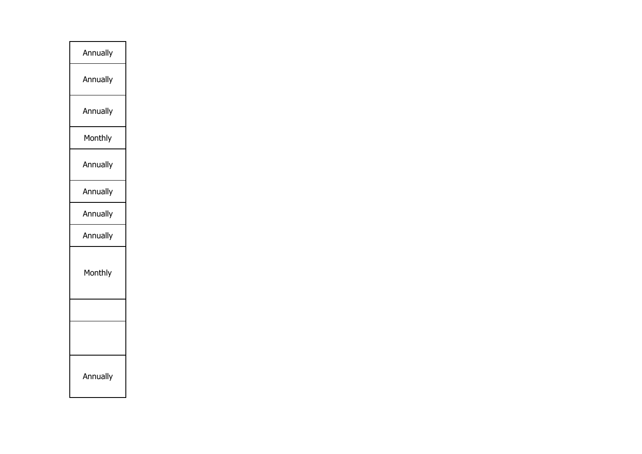| Annually |
|----------|
| Annually |
| Annually |
| Monthly  |
| Annually |
| Annually |
| Annually |
| Annually |
| Monthly  |
|          |
|          |
| Annually |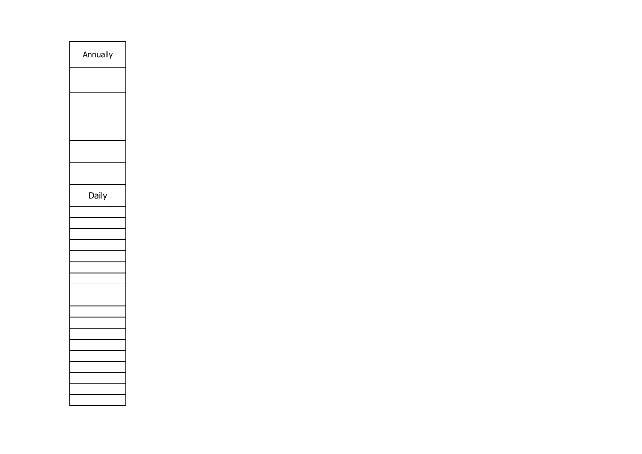| Annually |
|----------|
|          |
|          |
|          |
|          |
|          |
| Daily    |
|          |
|          |
|          |
|          |
|          |
|          |
|          |
|          |
|          |
|          |
|          |
|          |
|          |
|          |
|          |
|          |
|          |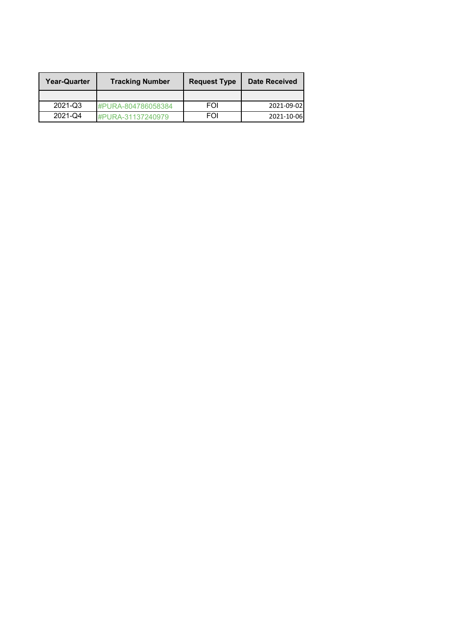| <b>Year-Quarter</b> | <b>Tracking Number</b> | <b>Request Type</b> | <b>Date Received</b> |
|---------------------|------------------------|---------------------|----------------------|
|                     |                        |                     |                      |
| 2021-Q3             | #PURA-804786058384     | FOI                 | 2021-09-02           |
| 2021-Q4             | #PURA-31137240979      | FOI                 | 2021-10-06           |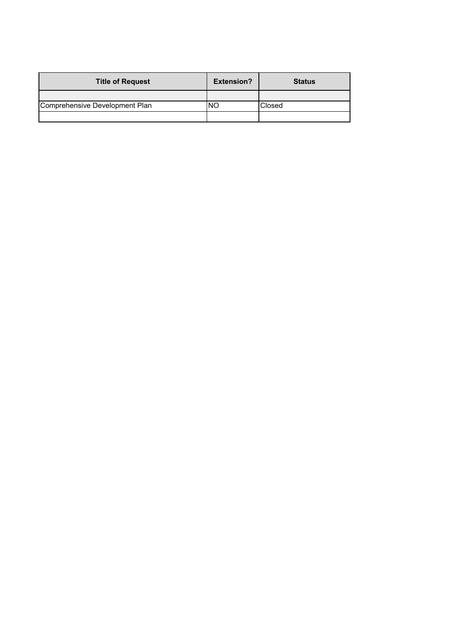| <b>Title of Request</b>        | <b>Extension?</b> | <b>Status</b> |
|--------------------------------|-------------------|---------------|
|                                |                   |               |
| Comprehensive Development Plan | NO                | Closed        |
|                                |                   |               |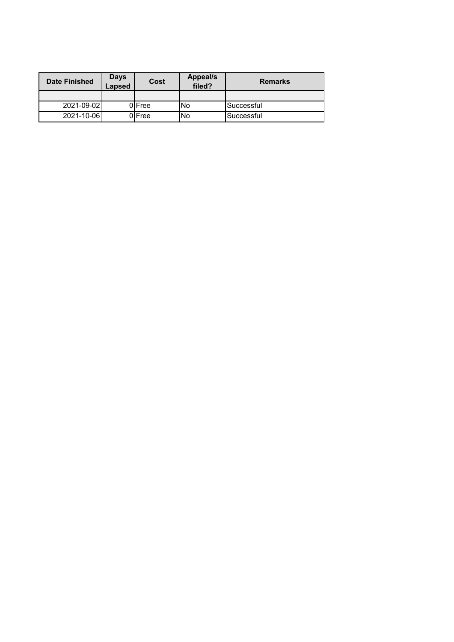| <b>Date Finished</b> | <b>Days</b><br>Lapsed | Cost   | <b>Appeal/s</b><br>filed? | <b>Remarks</b> |
|----------------------|-----------------------|--------|---------------------------|----------------|
|                      |                       |        |                           |                |
| 2021-09-02           |                       | 0 Free | <b>INo</b>                | Successful     |
| 2021-10-06           |                       | 0 Free | lNo                       | Successful     |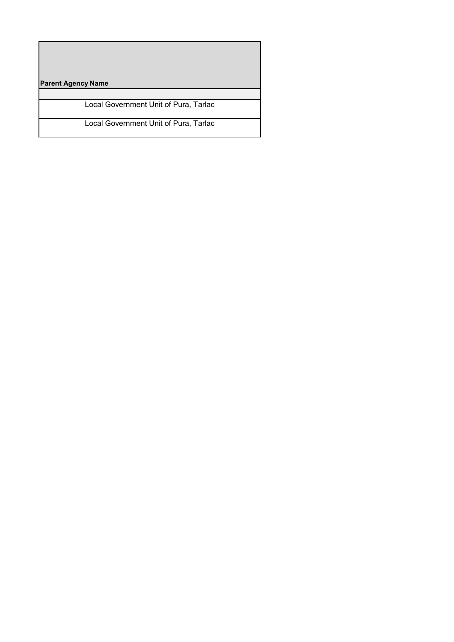**Parent Agency Name**

Local Government Unit of Pura, Tarlac

Local Government Unit of Pura, Tarlac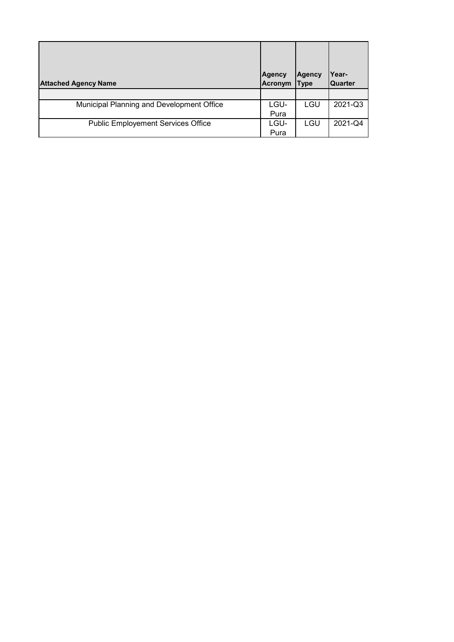| <b>Attached Agency Name</b>               | <b>Agency</b><br>Acronym | Agency<br><b>Type</b> | Year-<br>Quarter |
|-------------------------------------------|--------------------------|-----------------------|------------------|
|                                           |                          |                       |                  |
| Municipal Planning and Development Office | LGU-                     | LGU                   | 2021-Q3          |
|                                           | Pura                     |                       |                  |
| <b>Public Employement Services Office</b> | LGU-                     | LGU                   | 2021-Q4          |
|                                           | Pura                     |                       |                  |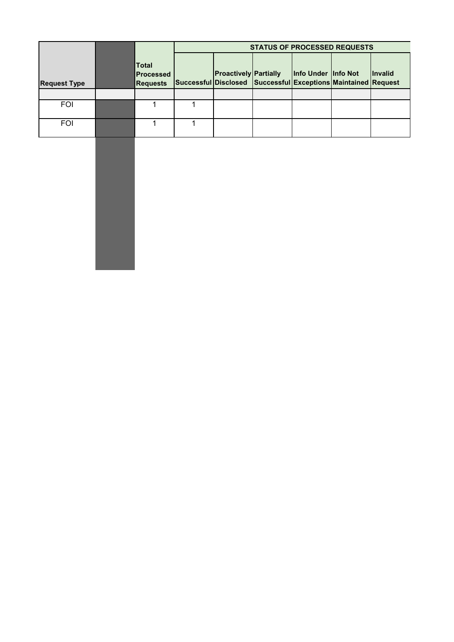|                     | <b>STATUS OF PROCESSED REQUESTS</b>          |                                                               |                              |  |                     |  |                |
|---------------------|----------------------------------------------|---------------------------------------------------------------|------------------------------|--|---------------------|--|----------------|
| <b>Request Type</b> | Total<br><b>Processed</b><br><b>Requests</b> | Successful Disclosed Successful Exceptions Maintained Request | <b>Proactively Partially</b> |  | Info Under Info Not |  | <b>Invalid</b> |
|                     |                                              |                                                               |                              |  |                     |  |                |
| <b>FOI</b>          |                                              |                                                               |                              |  |                     |  |                |
| <b>FOI</b>          |                                              |                                                               |                              |  |                     |  |                |

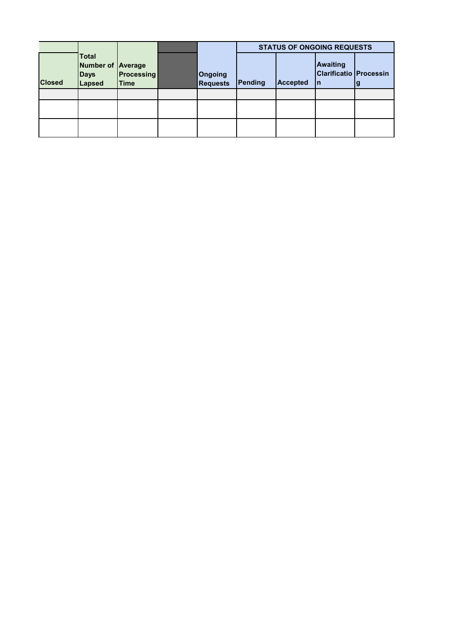|               |                                                                   |                                  |                            | <b>STATUS OF ONGOING REQUESTS</b> |                 |                                                        |  |
|---------------|-------------------------------------------------------------------|----------------------------------|----------------------------|-----------------------------------|-----------------|--------------------------------------------------------|--|
| <b>Closed</b> | <b>Total</b><br><b>Number of Average</b><br><b>Days</b><br>Lapsed | <b>Processing</b><br><b>Time</b> | Ongoing<br><b>Requests</b> | Pending                           | <b>Accepted</b> | <b>Awaiting</b><br><b>Clarificatio Processin</b><br>In |  |
|               |                                                                   |                                  |                            |                                   |                 |                                                        |  |
|               |                                                                   |                                  |                            |                                   |                 |                                                        |  |
|               |                                                                   |                                  |                            |                                   |                 |                                                        |  |